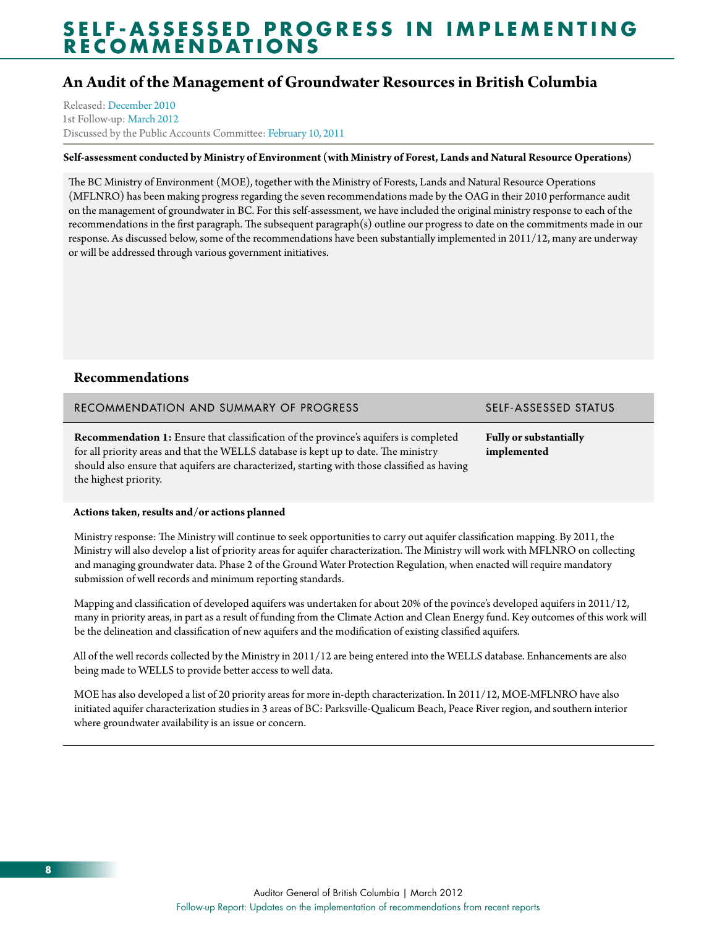## **An Audit of the Management of Groundwater Resources in British Columbia**

Released: [December 2010](http://www.bcauditor.com/pubs/2010/report8/audit-management-groundwater-resources-british-columbia) 1st Follow-up: [March 2012](http://www.bcauditor.com/pubs/2010/report8/audit-management-groundwater-resources-british-columbia) Discussed by the Public Accounts Committee: [February 10, 2011](http://www.leg.bc.ca/cmt/39thparl/session-2/pac/hansard/P10210a.htm)

### **Self-assessment conducted by Ministry of Environment (with Ministry of Forest, Lands and Natural Resource Operations)**

The BC Ministry of Environment (MOE), together with the Ministry of Forests, Lands and Natural Resource Operations (MFLNRO) has been making progress regarding the seven recommendations made by the OAG in their 2010 performance audit on the management of groundwater in BC. For this self-assessment, we have included the original ministry response to each of the recommendations in the first paragraph. The subsequent paragraph(s) outline our progress to date on the commitments made in our response. As discussed below, some of the recommendations have been substantially implemented in 2011/12, many are underway or will be addressed through various government initiatives.

### **Recommendations**

RECOMMENDATION AND SUMMARY OF PROGRESS SELF-ASSESSED STATUS

**Recommendation 1:** Ensure that classification of the province's aquifers is completed for all priority areas and that the WELLS database is kept up to date. The ministry should also ensure that aquifers are characterized, starting with those classified as having the highest priority.

**Fully or substantially implemented**

### **Actions taken, results and/or actions planned**

Ministry response: The Ministry will continue to seek opportunities to carry out aquifer classification mapping. By 2011, the Ministry will also develop a list of priority areas for aquifer characterization. The Ministry will work with MFLNRO on collecting and managing groundwater data. Phase 2 of the Ground Water Protection Regulation, when enacted will require mandatory submission of well records and minimum reporting standards.

Mapping and classification of developed aquifers was undertaken for about 20% of the povince's developed aquifers in 2011/12, many in priority areas, in part as a result of funding from the Climate Action and Clean Energy fund. Key outcomes of this work will be the delineation and classification of new aquifers and the modification of existing classified aquifers.

All of the well records collected by the Ministry in 2011/12 are being entered into the WELLS database. Enhancements are also being made to WELLS to provide better access to well data.

MOE has also developed a list of 20 priority areas for more in-depth characterization. In 2011/12, MOE-MFLNRO have also initiated aquifer characterization studies in 3 areas of BC: Parksville-Qualicum Beach, Peace River region, and southern interior where groundwater availability is an issue or concern.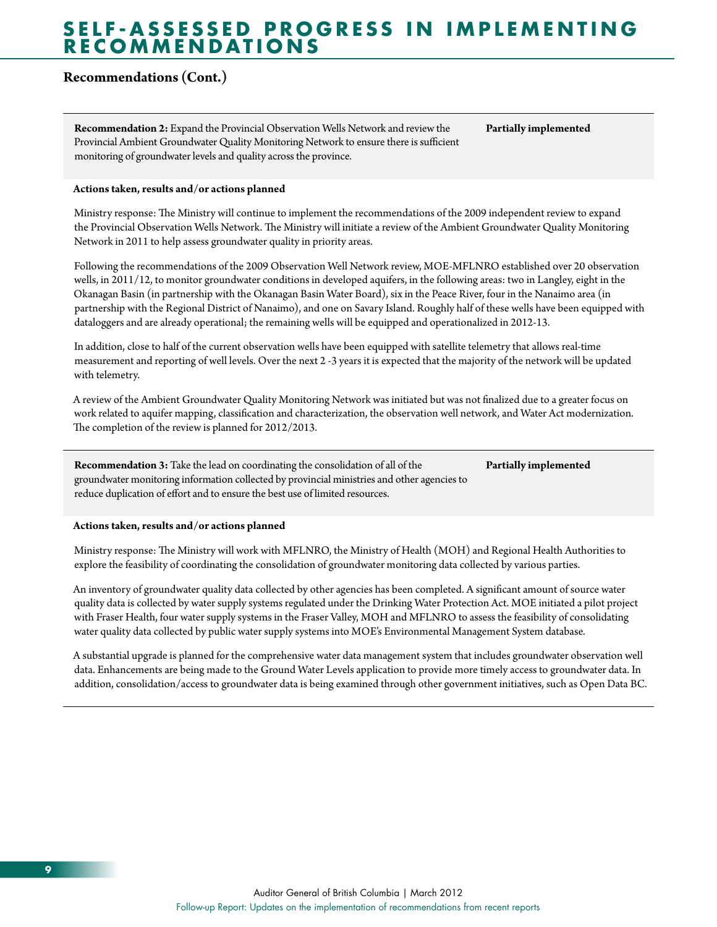## **Recommendations (Cont.)**

**Recommendation 2:** Expand the Provincial Observation Wells Network and review the Provincial Ambient Groundwater Quality Monitoring Network to ensure there is sufficient monitoring of groundwater levels and quality across the province.

**Partially implemented**

#### **Actions taken, results and/or actions planned**

Ministry response: The Ministry will continue to implement the recommendations of the 2009 independent review to expand the Provincial Observation Wells Network. The Ministry will initiate a review of the Ambient Groundwater Quality Monitoring Network in 2011 to help assess groundwater quality in priority areas.

Following the recommendations of the 2009 Observation Well Network review, MOE-MFLNRO established over 20 observation wells, in 2011/12, to monitor groundwater conditions in developed aquifers, in the following areas: two in Langley, eight in the Okanagan Basin (in partnership with the Okanagan Basin Water Board), six in the Peace River, four in the Nanaimo area (in partnership with the Regional District of Nanaimo), and one on Savary Island. Roughly half of these wells have been equipped with dataloggers and are already operational; the remaining wells will be equipped and operationalized in 2012-13.

In addition, close to half of the current observation wells have been equipped with satellite telemetry that allows real-time measurement and reporting of well levels. Over the next 2 -3 years it is expected that the majority of the network will be updated with telemetry.

A review of the Ambient Groundwater Quality Monitoring Network was initiated but was not finalized due to a greater focus on work related to aquifer mapping, classification and characterization, the observation well network, and Water Act modernization. The completion of the review is planned for 2012/2013.

**Recommendation 3:** Take the lead on coordinating the consolidation of all of the groundwater monitoring information collected by provincial ministries and other agencies to reduce duplication of effort and to ensure the best use of limited resources. **Partially implemented**

#### **Actions taken, results and/or actions planned**

Ministry response: The Ministry will work with MFLNRO, the Ministry of Health (MOH) and Regional Health Authorities to explore the feasibility of coordinating the consolidation of groundwater monitoring data collected by various parties.

An inventory of groundwater quality data collected by other agencies has been completed. A significant amount of source water quality data is collected by water supply systems regulated under the Drinking Water Protection Act. MOE initiated a pilot project with Fraser Health, four water supply systems in the Fraser Valley, MOH and MFLNRO to assess the feasibility of consolidating water quality data collected by public water supply systems into MOE's Environmental Management System database.

A substantial upgrade is planned for the comprehensive water data management system that includes groundwater observation well data. Enhancements are being made to the Ground Water Levels application to provide more timely access to groundwater data. In addition, consolidation/access to groundwater data is being examined through other government initiatives, such as Open Data BC.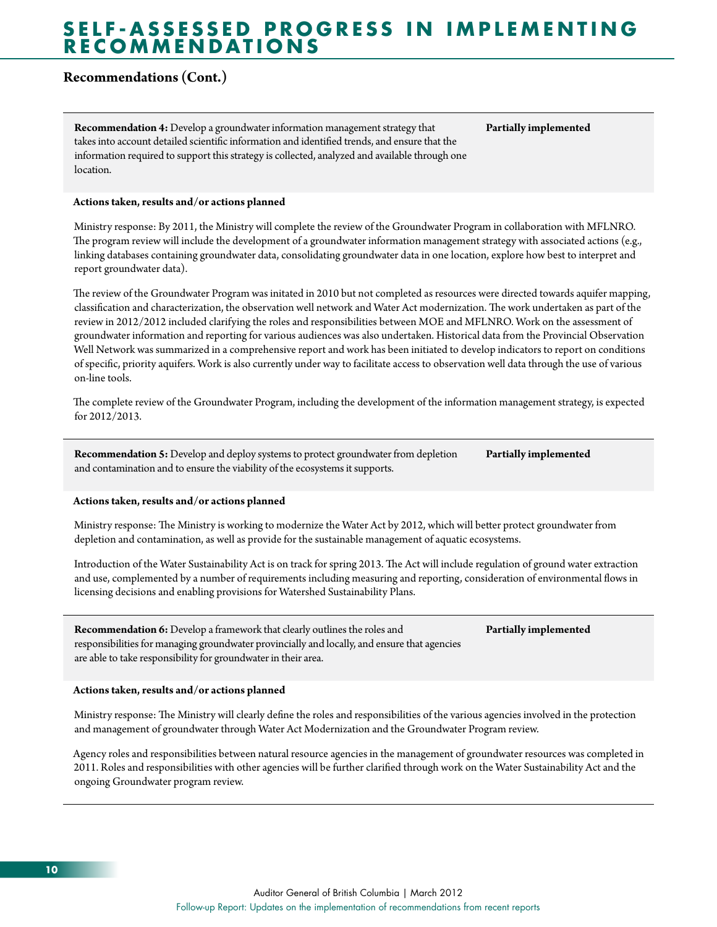## **Recommendations (Cont.)**

**Recommendation 4:** Develop a groundwater information management strategy that takes into account detailed scientific information and identified trends, and ensure that the information required to support this strategy is collected, analyzed and available through one location.

**Partially implemented**

### **Actions taken, results and/or actions planned**

Ministry response: By 2011, the Ministry will complete the review of the Groundwater Program in collaboration with MFLNRO. The program review will include the development of a groundwater information management strategy with associated actions (e.g., linking databases containing groundwater data, consolidating groundwater data in one location, explore how best to interpret and report groundwater data).

The review of the Groundwater Program was initated in 2010 but not completed as resources were directed towards aquifer mapping, classification and characterization, the observation well network and Water Act modernization. The work undertaken as part of the review in 2012/2012 included clarifying the roles and responsibilities between MOE and MFLNRO. Work on the assessment of groundwater information and reporting for various audiences was also undertaken. Historical data from the Provincial Observation Well Network was summarized in a comprehensive report and work has been initiated to develop indicators to report on conditions of specific, priority aquifers. Work is also currently under way to facilitate access to observation well data through the use of various on-line tools.

The complete review of the Groundwater Program, including the development of the information management strategy, is expected for 2012/2013.

**Recommendation 5:** Develop and deploy systems to protect groundwater from depletion and contamination and to ensure the viability of the ecosystems it supports. **Partially implemented**

#### **Actions taken, results and/or actions planned**

Ministry response: The Ministry is working to modernize the Water Act by 2012, which will better protect groundwater from depletion and contamination, as well as provide for the sustainable management of aquatic ecosystems.

Introduction of the Water Sustainability Act is on track for spring 2013. The Act will include regulation of ground water extraction and use, complemented by a number of requirements including measuring and reporting, consideration of environmental flows in licensing decisions and enabling provisions for Watershed Sustainability Plans.

**Recommendation 6:** Develop a framework that clearly outlines the roles and responsibilities for managing groundwater provincially and locally, and ensure that agencies are able to take responsibility for groundwater in their area.

## **Partially implemented**

#### **Actions taken, results and/or actions planned**

Ministry response: The Ministry will clearly define the roles and responsibilities of the various agencies involved in the protection and management of groundwater through Water Act Modernization and the Groundwater Program review.

Agency roles and responsibilities between natural resource agencies in the management of groundwater resources was completed in 2011. Roles and responsibilities with other agencies will be further clarified through work on the Water Sustainability Act and the ongoing Groundwater program review.